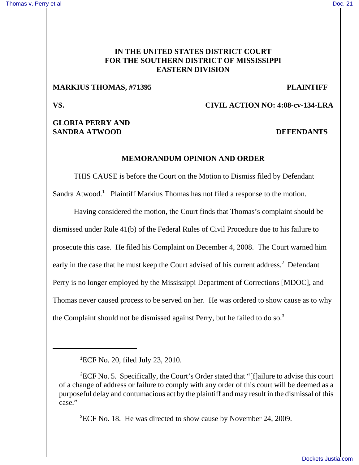### **IN THE UNITED STATES DISTRICT COURT FOR THE SOUTHERN DISTRICT OF MISSISSIPPI EASTERN DIVISION**

### **MARKIUS THOMAS, #71395 PLAINTIFF**

**VS. CIVIL ACTION NO: 4:08-cv-134-LRA**

## **GLORIA PERRY AND SANDRA ATWOOD DEFENDANTS**

#### **MEMORANDUM OPINION AND ORDER**

THIS CAUSE is before the Court on the Motion to Dismiss filed by Defendant Sandra Atwood.<sup>1</sup> Plaintiff Markius Thomas has not filed a response to the motion.

Having considered the motion, the Court finds that Thomas's complaint should be dismissed under Rule 41(b) of the Federal Rules of Civil Procedure due to his failure to prosecute this case. He filed his Complaint on December 4, 2008. The Court warned him early in the case that he must keep the Court advised of his current address.<sup>2</sup> Defendant Perry is no longer employed by the Mississippi Department of Corrections [MDOC], and Thomas never caused process to be served on her. He was ordered to show cause as to why the Complaint should not be dismissed against Perry, but he failed to do so.<sup>3</sup>

<sup>3</sup>ECF No. 18. He was directed to show cause by November 24, 2009.

<sup>1</sup> ECF No. 20, filed July 23, 2010.

 ${}^{2}$ ECF No. 5. Specifically, the Court's Order stated that "[f]ailure to advise this court of a change of address or failure to comply with any order of this court will be deemed as a purposeful delay and contumacious act by the plaintiff and may result in the dismissal of this case."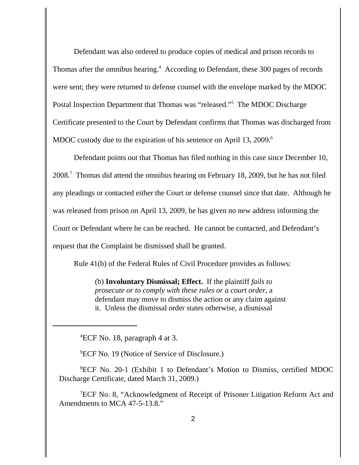Defendant was also ordered to produce copies of medical and prison records to Thomas after the omnibus hearing.<sup>4</sup> According to Defendant, these 300 pages of records were sent; they were returned to defense counsel with the envelope marked by the MDOC Postal Inspection Department that Thomas was "released."<sup>5</sup> The MDOC Discharge Certificate presented to the Court by Defendant confirms that Thomas was discharged from MDOC custody due to the expiration of his sentence on April 13, 2009.<sup>6</sup>

Defendant points out that Thomas has filed nothing in this case since December 10, 2008.<sup>7</sup> Thomas did attend the omnibus hearing on February 18, 2009, but he has not filed any pleadings or contacted either the Court or defense counsel since that date. Although he was released from prison on April 13, 2009, he has given no new address informing the Court or Defendant where he can be reached. He cannot be contacted, and Defendant's request that the Complaint be dismissed shall be granted.

Rule 41(b) of the Federal Rules of Civil Procedure provides as follows:

(b) **Involuntary Dismissal; Effect.** If the plaintiff *fails to prosecute or to comply with these rules or a court order*, a defendant may move to dismiss the action or any claim against it. Unless the dismissal order states otherwise, a dismissal

4 ECF No. 18, paragraph 4 at 3.

5 ECF No. 19 (Notice of Service of Disclosure.)

6 ECF No. 20-1 (Exhibit 1 to Defendant's Motion to Dismiss, certified MDOC Discharge Certificate, dated March 31, 2009.)

7 ECF No. 8, "Acknowledgment of Receipt of Prisoner Litigation Reform Act and Amendments to MCA 47-5-13.8."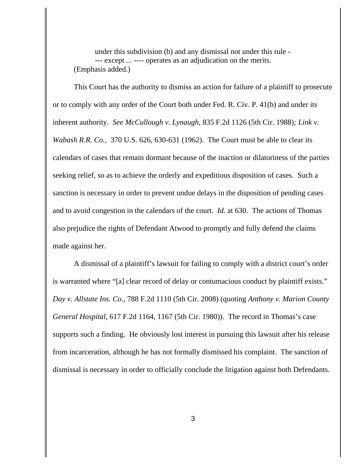under this subdivision (b) and any dismissal not under this rule - --- except ... ---- operates as an adjudication on the merits. (Emphasis added.)

This Court has the authority to dismiss an action for failure of a plaintiff to prosecute or to comply with any order of the Court both under Fed. R. Civ. P. 41(b) and under its inherent authority. *See McCullough v. Lynaugh*, 835 F.2d 1126 (5th Cir. 1988)*; Link v. Wabash R.R. Co.*, 370 U.S. 626, 630-631 (1962). The Court must be able to clear its calendars of cases that remain dormant because of the inaction or dilatoriness of the parties seeking relief, so as to achieve the orderly and expeditious disposition of cases. Such a sanction is necessary in order to prevent undue delays in the disposition of pending cases and to avoid congestion in the calendars of the court. *Id.* at 630. The actions of Thomas also prejudice the rights of Defendant Atwood to promptly and fully defend the claims made against her.

A dismissal of a plaintiff's lawsuit for failing to comply with a district court's order is warranted where "[a] clear record of delay or contumacious conduct by plaintiff exists." *Day v. Allstate Ins. Co.,* 788 F.2d 1110 (5th Cir. 2008) (quoting *Anthony v. Marion County General Hospital*, 617 F.2d 1164, 1167 (5th Cir. 1980)). The record in Thomas's case supports such a finding. He obviously lost interest in pursuing this lawsuit after his release from incarceration, although he has not formally dismissed his complaint. The sanction of dismissal is necessary in order to officially conclude the litigation against both Defendants.